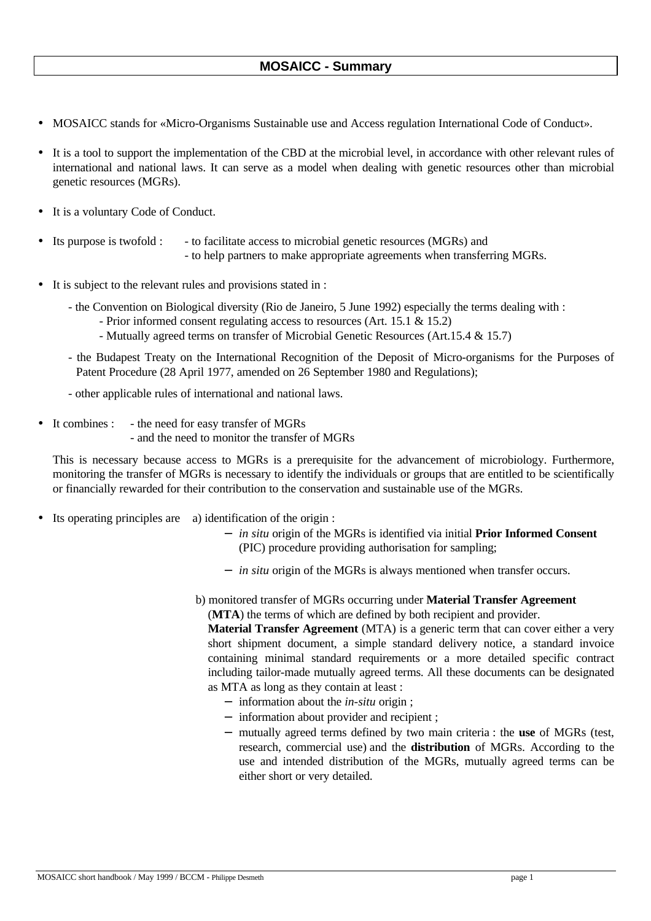## **MOSAICC - Summary**

- MOSAICC stands for «Micro-Organisms Sustainable use and Access regulation International Code of Conduct».
- It is a tool to support the implementation of the CBD at the microbial level, in accordance with other relevant rules of international and national laws. It can serve as a model when dealing with genetic resources other than microbial genetic resources (MGRs).
- It is a voluntary Code of Conduct.
- Its purpose is twofold : to facilitate access to microbial genetic resources (MGRs) and - to help partners to make appropriate agreements when transferring MGRs.
- It is subject to the relevant rules and provisions stated in :
	- the Convention on Biological diversity (Rio de Janeiro, 5 June 1992) especially the terms dealing with :
		- Prior informed consent regulating access to resources (Art. 15.1 & 15.2)
		- Mutually agreed terms on transfer of Microbial Genetic Resources (Art.15.4 & 15.7)
	- the Budapest Treaty on the International Recognition of the Deposit of Micro-organisms for the Purposes of Patent Procedure (28 April 1977, amended on 26 September 1980 and Regulations);
	- other applicable rules of international and national laws.
- It combines : the need for easy transfer of MGRs
	- and the need to monitor the transfer of MGRs

This is necessary because access to MGRs is a prerequisite for the advancement of microbiology. Furthermore, monitoring the transfer of MGRs is necessary to identify the individuals or groups that are entitled to be scientifically or financially rewarded for their contribution to the conservation and sustainable use of the MGRs.

- Its operating principles are a) identification of the origin :
	- − *in situ* origin of the MGRs is identified via initial **Prior Informed Consent** (PIC) procedure providing authorisation for sampling;
	- − *in situ* origin of the MGRs is always mentioned when transfer occurs.
	- b) monitored transfer of MGRs occurring under **Material Transfer Agreement** (**MTA**) the terms of which are defined by both recipient and provider.

**Material Transfer Agreement** (MTA) is a generic term that can cover either a very short shipment document, a simple standard delivery notice, a standard invoice containing minimal standard requirements or a more detailed specific contract including tailor-made mutually agreed terms. All these documents can be designated as MTA as long as they contain at least :

- − information about the *in-situ* origin ;
- − information about provider and recipient ;
- − mutually agreed terms defined by two main criteria : the **use** of MGRs (test, research, commercial use) and the **distribution** of MGRs. According to the use and intended distribution of the MGRs, mutually agreed terms can be either short or very detailed.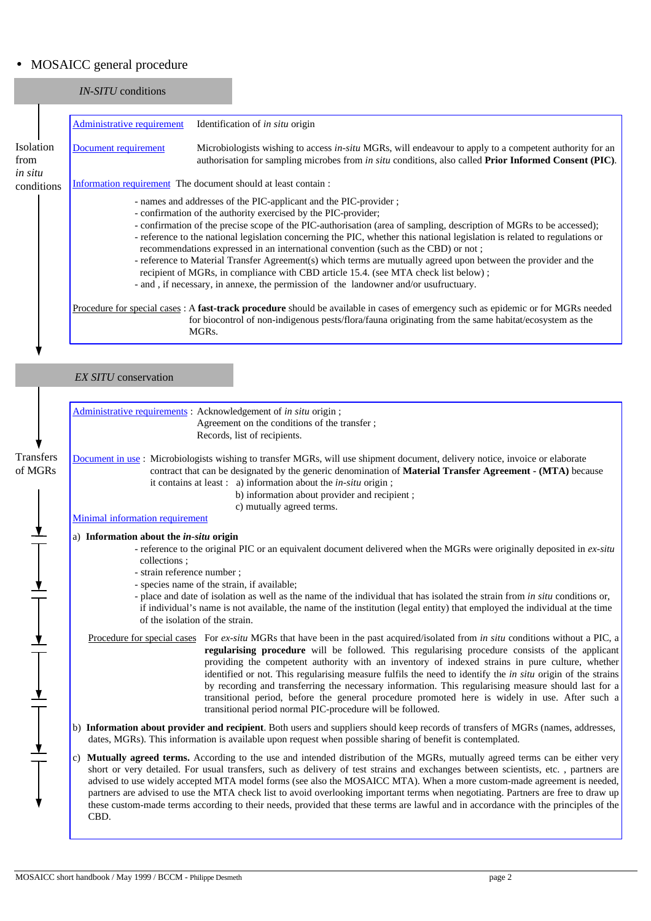## • MOSAICC general procedure

## *IN-SITU* conditions

|                       | Administrative requirement                                     | Identification of <i>in situ</i> origin                                                                                                                                                                                                                                                                                                                                                                                                                                                                                                                                                                                                                                                                                                                                           |  |
|-----------------------|----------------------------------------------------------------|-----------------------------------------------------------------------------------------------------------------------------------------------------------------------------------------------------------------------------------------------------------------------------------------------------------------------------------------------------------------------------------------------------------------------------------------------------------------------------------------------------------------------------------------------------------------------------------------------------------------------------------------------------------------------------------------------------------------------------------------------------------------------------------|--|
| Isolation<br>from     | Document requirement                                           | Microbiologists wishing to access in-situ MGRs, will endeavour to apply to a competent authority for an<br>authorisation for sampling microbes from <i>in situ</i> conditions, also called <b>Prior Informed Consent (PIC)</b> .                                                                                                                                                                                                                                                                                                                                                                                                                                                                                                                                                  |  |
| in situ<br>conditions | Information requirement The document should at least contain : |                                                                                                                                                                                                                                                                                                                                                                                                                                                                                                                                                                                                                                                                                                                                                                                   |  |
|                       |                                                                | - names and addresses of the PIC-applicant and the PIC-provider;<br>- confirmation of the authority exercised by the PIC-provider;<br>- confirmation of the precise scope of the PIC-authorisation (area of sampling, description of MGRs to be accessed);<br>- reference to the national legislation concerning the PIC, whether this national legislation is related to regulations or<br>recommendations expressed in an international convention (such as the CBD) or not;<br>- reference to Material Transfer Agreement(s) which terms are mutually agreed upon between the provider and the<br>recipient of MGRs, in compliance with CBD article 15.4. (see MTA check list below);<br>- and , if necessary, in annexe, the permission of the landowner and/or usufructuary. |  |
|                       |                                                                | Procedure for special cases : A fast-track procedure should be available in cases of emergency such as epidemic or for MGRs needed<br>for biocontrol of non-indigenous pests/flora/fauna originating from the same habitat/ecosystem as the<br>MGRs.                                                                                                                                                                                                                                                                                                                                                                                                                                                                                                                              |  |

## *EX SITU* conservation

Ť

|                                                                                   | Administrative requirements: Acknowledgement of in situ origin;<br>Agreement on the conditions of the transfer;<br>Records, list of recipients.                                                                                                                                                                                                                                                                                                                                                                                                                                                                                                                                                                                       |  |
|-----------------------------------------------------------------------------------|---------------------------------------------------------------------------------------------------------------------------------------------------------------------------------------------------------------------------------------------------------------------------------------------------------------------------------------------------------------------------------------------------------------------------------------------------------------------------------------------------------------------------------------------------------------------------------------------------------------------------------------------------------------------------------------------------------------------------------------|--|
| Transfers<br>of MGRs                                                              | Document in use: Microbiologists wishing to transfer MGRs, will use shipment document, delivery notice, invoice or elaborate<br>contract that can be designated by the generic denomination of <b>Material Transfer Agreement - (MTA)</b> because<br>it contains at least : $a)$ information about the <i>in-situ</i> origin;<br>b) information about provider and recipient;<br>c) mutually agreed terms.                                                                                                                                                                                                                                                                                                                            |  |
|                                                                                   | <b>Minimal information requirement</b>                                                                                                                                                                                                                                                                                                                                                                                                                                                                                                                                                                                                                                                                                                |  |
|                                                                                   | a) Information about the in-situ origin<br>- reference to the original PIC or an equivalent document delivered when the MGRs were originally deposited in ex-situ<br>collections;                                                                                                                                                                                                                                                                                                                                                                                                                                                                                                                                                     |  |
| $\frac{1}{\sqrt{2\pi}}$                                                           | - strain reference number;<br>- species name of the strain, if available;<br>- place and date of isolation as well as the name of the individual that has isolated the strain from in situ conditions or,<br>if individual's name is not available, the name of the institution (legal entity) that employed the individual at the time<br>of the isolation of the strain.                                                                                                                                                                                                                                                                                                                                                            |  |
| $\frac{1}{\sqrt{2}}$                                                              | Procedure for special cases For ex-situ MGRs that have been in the past acquired/isolated from in situ conditions without a PIC, a<br>regularising procedure will be followed. This regularising procedure consists of the applicant<br>providing the competent authority with an inventory of indexed strains in pure culture, whether<br>identified or not. This regularising measure fulfils the need to identify the <i>in situ</i> origin of the strains<br>by recording and transferring the necessary information. This regularising measure should last for a<br>transitional period, before the general procedure promoted here is widely in use. After such a<br>transitional period normal PIC-procedure will be followed. |  |
| $\frac{1}{\sqrt{1-\frac{1}{2}}}\left( \frac{1}{\sqrt{1-\frac{1}{2}}}\right) ^{2}$ | b) Information about provider and recipient. Both users and suppliers should keep records of transfers of MGRs (names, addresses,<br>dates, MGRs). This information is available upon request when possible sharing of benefit is contemplated.                                                                                                                                                                                                                                                                                                                                                                                                                                                                                       |  |
|                                                                                   | Mutually agreed terms. According to the use and intended distribution of the MGRs, mutually agreed terms can be either very<br>$\mathbf{c}$<br>short or very detailed. For usual transfers, such as delivery of test strains and exchanges between scientists, etc., partners are<br>advised to use widely accepted MTA model forms (see also the MOSAICC MTA). When a more custom-made agreement is needed,<br>partners are advised to use the MTA check list to avoid overlooking important terms when negotiating. Partners are free to draw up<br>these custom-made terms according to their needs, provided that these terms are lawful and in accordance with the principles of the<br>CBD.                                     |  |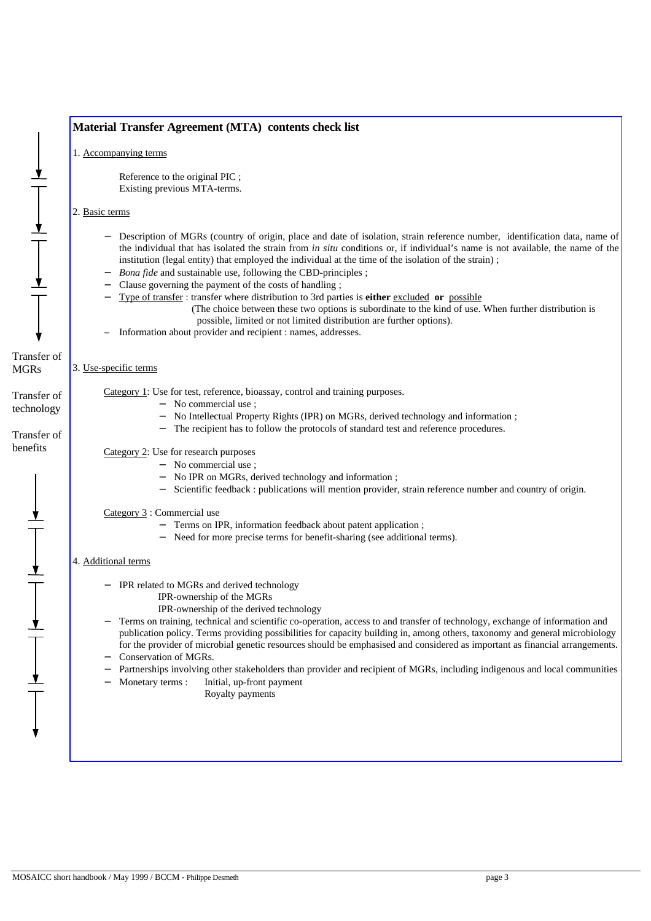|                                          | Material Transfer Agreement (MTA) contents check list                                                                                                                                                                                                                                                                                                                                                                                                     |  |  |
|------------------------------------------|-----------------------------------------------------------------------------------------------------------------------------------------------------------------------------------------------------------------------------------------------------------------------------------------------------------------------------------------------------------------------------------------------------------------------------------------------------------|--|--|
|                                          | 1. Accompanying terms                                                                                                                                                                                                                                                                                                                                                                                                                                     |  |  |
|                                          | Reference to the original PIC;<br>Existing previous MTA-terms.                                                                                                                                                                                                                                                                                                                                                                                            |  |  |
|                                          | 2. Basic terms                                                                                                                                                                                                                                                                                                                                                                                                                                            |  |  |
|                                          | Description of MGRs (country of origin, place and date of isolation, strain reference number, identification data, name of<br>the individual that has isolated the strain from in situ conditions or, if individual's name is not available, the name of the<br>institution (legal entity) that employed the individual at the time of the isolation of the strain);<br>Bona fide and sustainable use, following the CBD-principles;<br>$\qquad \qquad -$ |  |  |
|                                          | Clause governing the payment of the costs of handling;<br>Type of transfer : transfer where distribution to 3rd parties is either excluded or possible<br>(The choice between these two options is subordinate to the kind of use. When further distribution is<br>possible, limited or not limited distribution are further options).                                                                                                                    |  |  |
|                                          | Information about provider and recipient : names, addresses.                                                                                                                                                                                                                                                                                                                                                                                              |  |  |
| Transfer of<br><b>MGRs</b>               | 3. Use-specific terms                                                                                                                                                                                                                                                                                                                                                                                                                                     |  |  |
| Transfer of<br>technology<br>Transfer of | Category 1: Use for test, reference, bioassay, control and training purposes.<br>- No commercial use;<br>No Intellectual Property Rights (IPR) on MGRs, derived technology and information;<br>The recipient has to follow the protocols of standard test and reference procedures.                                                                                                                                                                       |  |  |
| benefits                                 | Category 2: Use for research purposes<br>No commercial use;<br>No IPR on MGRs, derived technology and information;<br>Scientific feedback : publications will mention provider, strain reference number and country of origin.                                                                                                                                                                                                                            |  |  |
|                                          | Category 3: Commercial use<br>Terms on IPR, information feedback about patent application;<br>Need for more precise terms for benefit-sharing (see additional terms).                                                                                                                                                                                                                                                                                     |  |  |
|                                          | 4. Additional terms                                                                                                                                                                                                                                                                                                                                                                                                                                       |  |  |
|                                          | - IPR related to MGRs and derived technology<br>IPR-ownership of the MGRs<br>IPR-ownership of the derived technology                                                                                                                                                                                                                                                                                                                                      |  |  |
|                                          | Terms on training, technical and scientific co-operation, access to and transfer of technology, exchange of information and<br>publication policy. Terms providing possibilities for capacity building in, among others, taxonomy and general microbiology<br>for the provider of microbial genetic resources should be emphasised and considered as important as financial arrangements.<br>Conservation of MGRs.                                        |  |  |
|                                          | Partnerships involving other stakeholders than provider and recipient of MGRs, including indigenous and local communities<br>Monetary terms:<br>Initial, up-front payment<br>Royalty payments                                                                                                                                                                                                                                                             |  |  |
|                                          |                                                                                                                                                                                                                                                                                                                                                                                                                                                           |  |  |